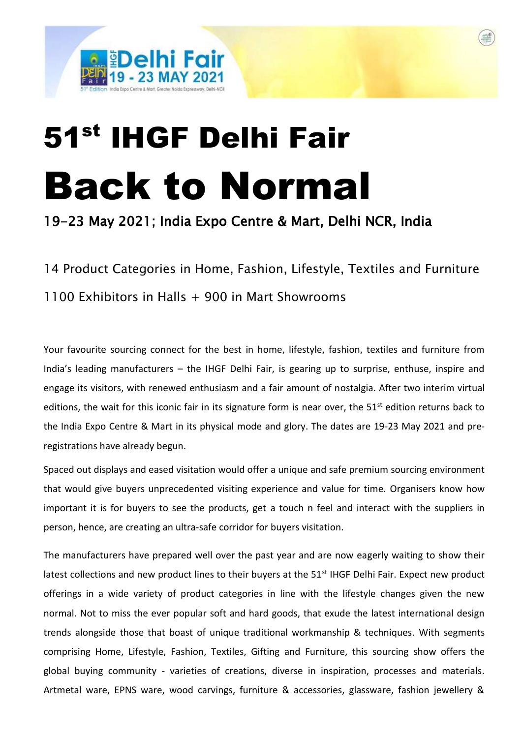

# 51<sup>st</sup> IHGF Delhi Fair Back to Normal

### 19-23 May 2021; India Expo Centre & Mart, Delhi NCR, India

## 14 Product Categories in Home, Fashion, Lifestyle, Textiles and Furniture 1100 Exhibitors in Halls  $+$  900 in Mart Showrooms

Your favourite sourcing connect for the best in home, lifestyle, fashion, textiles and furniture from India's leading manufacturers – the IHGF Delhi Fair, is gearing up to surprise, enthuse, inspire and engage its visitors, with renewed enthusiasm and a fair amount of nostalgia. After two interim virtual editions, the wait for this iconic fair in its signature form is near over, the 51<sup>st</sup> edition returns back to the India Expo Centre & Mart in its physical mode and glory. The dates are 19-23 May 2021 and preregistrations have already begun.

Spaced out displays and eased visitation would offer a unique and safe premium sourcing environment that would give buyers unprecedented visiting experience and value for time. Organisers know how important it is for buyers to see the products, get a touch n feel and interact with the suppliers in person, hence, are creating an ultra-safe corridor for buyers visitation.

The manufacturers have prepared well over the past year and are now eagerly waiting to show their latest collections and new product lines to their buyers at the 51<sup>st</sup> IHGF Delhi Fair. Expect new product offerings in a wide variety of product categories in line with the lifestyle changes given the new normal. Not to miss the ever popular soft and hard goods, that exude the latest international design trends alongside those that boast of unique traditional workmanship & techniques. With segments comprising Home, Lifestyle, Fashion, Textiles, Gifting and Furniture, this sourcing show offers the global buying community - varieties of creations, diverse in inspiration, processes and materials. Artmetal ware, EPNS ware, wood carvings, furniture & accessories, glassware, fashion jewellery &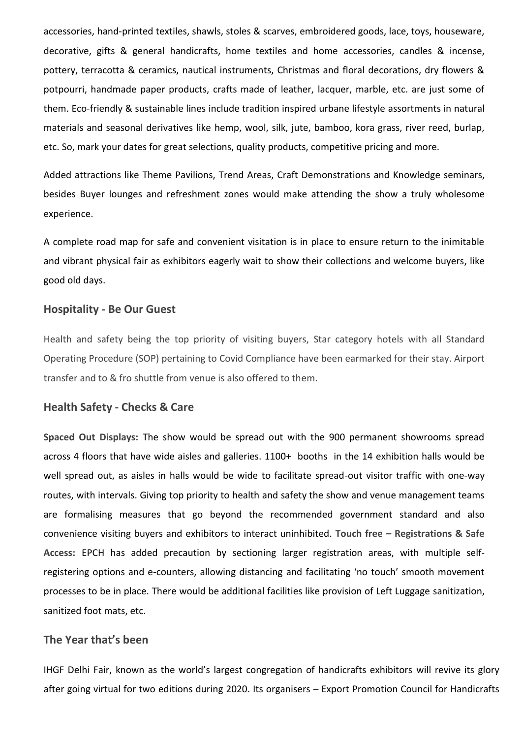accessories, hand-printed textiles, shawls, stoles & scarves, embroidered goods, lace, toys, houseware, decorative, gifts & general handicrafts, home textiles and home accessories, candles & incense, pottery, terracotta & ceramics, nautical instruments, Christmas and floral decorations, dry flowers & potpourri, handmade paper products, crafts made of leather, lacquer, marble, etc. are just some of them. Eco-friendly & sustainable lines include tradition inspired urbane lifestyle assortments in natural materials and seasonal derivatives like hemp, wool, silk, jute, bamboo, kora grass, river reed, burlap, etc. So, mark your dates for great selections, quality products, competitive pricing and more.

Added attractions like Theme Pavilions, Trend Areas, Craft Demonstrations and Knowledge seminars, besides Buyer lounges and refreshment zones would make attending the show a truly wholesome experience.

A complete road map for safe and convenient visitation is in place to ensure return to the inimitable and vibrant physical fair as exhibitors eagerly wait to show their collections and welcome buyers, like good old days.

#### **Hospitality - Be Our Guest**

Health and safety being the top priority of visiting buyers, Star category hotels with all Standard Operating Procedure (SOP) pertaining to Covid Compliance have been earmarked for their stay. Airport transfer and to & fro shuttle from venue is also offered to them.

#### **Health Safety - Checks & Care**

**Spaced Out Displays:** The show would be spread out with the 900 permanent showrooms spread across 4 floors that have wide aisles and galleries. 1100+ booths in the 14 exhibition halls would be well spread out, as aisles in halls would be wide to facilitate spread-out visitor traffic with one-way routes, with intervals. Giving top priority to health and safety the show and venue management teams are formalising measures that go beyond the recommended government standard and also convenience visiting buyers and exhibitors to interact uninhibited. **Touch free – Registrations & Safe Access:** EPCH has added precaution by sectioning larger registration areas, with multiple selfregistering options and e-counters, allowing distancing and facilitating 'no touch' smooth movement processes to be in place. There would be additional facilities like provision of Left Luggage sanitization, sanitized foot mats, etc.

#### **The Year that's been**

IHGF Delhi Fair, known as the world's largest congregation of handicrafts exhibitors will revive its glory after going virtual for two editions during 2020. Its organisers – Export Promotion Council for Handicrafts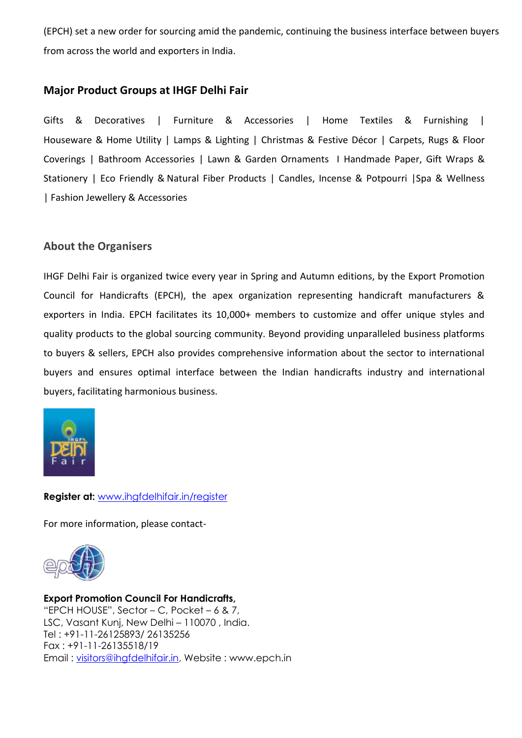(EPCH) set a new order for sourcing amid the pandemic, continuing the business interface between buyers from across the world and exporters in India.

#### **Major Product Groups at IHGF Delhi Fair**

Gifts & Decoratives | Furniture & Accessories | Home Textiles & Furnishing | Houseware & Home Utility | Lamps & Lighting | Christmas & Festive Décor | Carpets, Rugs & Floor Coverings | Bathroom Accessories | Lawn & Garden Ornaments I Handmade Paper, Gift Wraps & Stationery | Eco Friendly & Natural Fiber Products | Candles, Incense & Potpourri |Spa & Wellness | Fashion Jewellery & Accessories

#### **About the Organisers**

IHGF Delhi Fair is organized twice every year in Spring and Autumn editions, by the Export Promotion Council for Handicrafts (EPCH), the apex organization representing handicraft manufacturers & exporters in India. EPCH facilitates its 10,000+ members to customize and offer unique styles and quality products to the global sourcing community. Beyond providing unparalleled business platforms to buyers & sellers, EPCH also provides comprehensive information about the sector to international buyers and ensures optimal interface between the Indian handicrafts industry and international buyers, facilitating harmonious business.



**Register at:** [www.ihgfdelhifair.in/register](http://www.ihgfdelhifair.in/register)

For more information, please contact-



**Export Promotion Council For Handicrafts,** "EPCH HOUSE", Sector – C, Pocket – 6 & 7, LSC, Vasant Kunj, New Delhi – 110070 , India. Tel : +91-11-26125893/ 26135256 Fax : +91-11-26135518/19 Email : [visitors@ihgfdelhifair.in,](mailto:visitors@ihgfdelhifair.in) Website : [www.epch.in](http://www.epch.in/)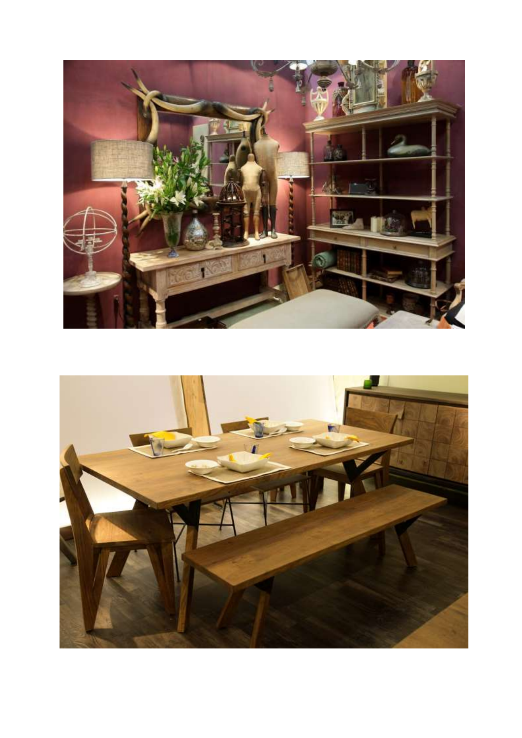

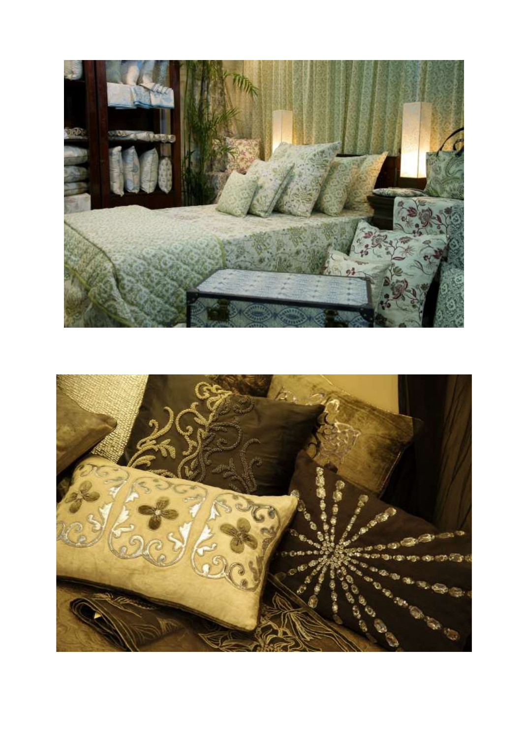

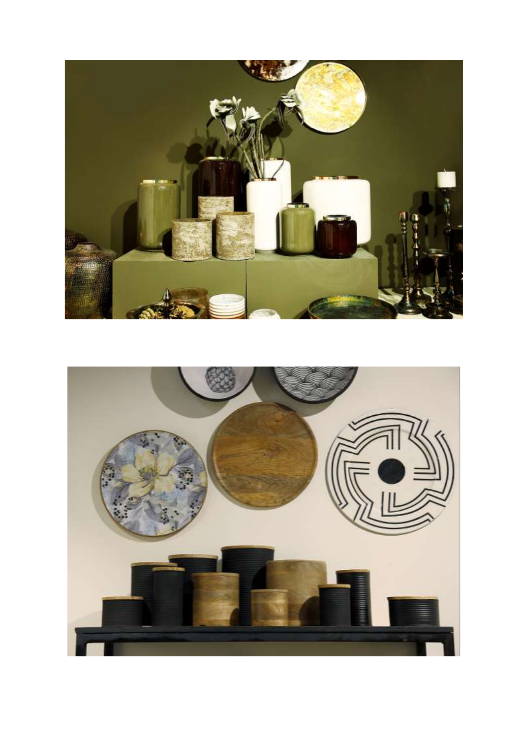

![](_page_5_Picture_1.jpeg)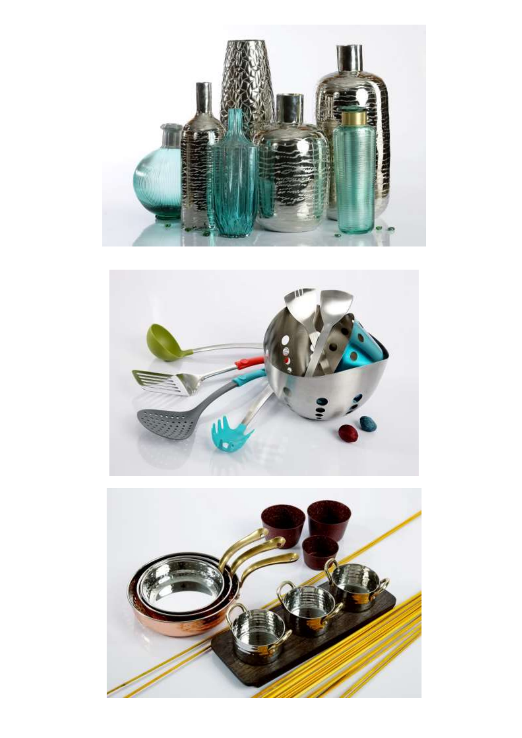![](_page_6_Picture_0.jpeg)

![](_page_6_Picture_1.jpeg)

![](_page_6_Picture_2.jpeg)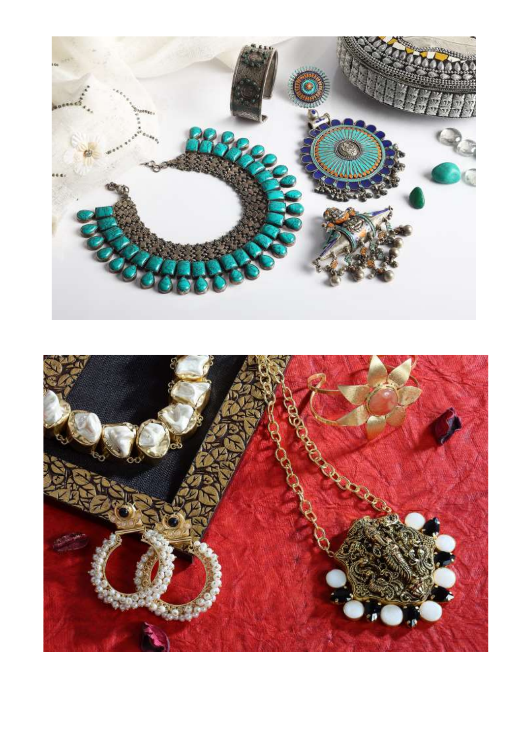![](_page_7_Picture_0.jpeg)

![](_page_7_Picture_1.jpeg)